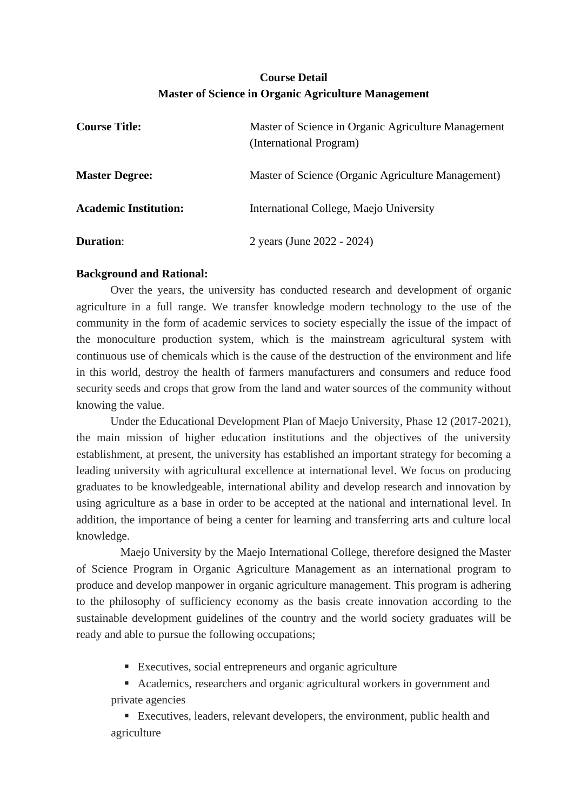## **Course Detail Master of Science in Organic Agriculture Management**

| <b>Course Title:</b>         | Master of Science in Organic Agriculture Management<br>(International Program) |
|------------------------------|--------------------------------------------------------------------------------|
| <b>Master Degree:</b>        | Master of Science (Organic Agriculture Management)                             |
| <b>Academic Institution:</b> | International College, Maejo University                                        |
| <b>Duration:</b>             | 2 years (June 2022 - 2024)                                                     |

### **Background and Rational:**

Over the years, the university has conducted research and development of organic agriculture in a full range. We transfer knowledge modern technology to the use of the community in the form of academic services to society especially the issue of the impact of the monoculture production system, which is the mainstream agricultural system with continuous use of chemicals which is the cause of the destruction of the environment and life in this world, destroy the health of farmers manufacturers and consumers and reduce food security seeds and crops that grow from the land and water sources of the community without knowing the value.

Under the Educational Development Plan of Maejo University, Phase 12 (2017-2021), the main mission of higher education institutions and the objectives of the university establishment, at present, the university has established an important strategy for becoming a leading university with agricultural excellence at international level. We focus on producing graduates to be knowledgeable, international ability and develop research and innovation by using agriculture as a base in order to be accepted at the national and international level. In addition, the importance of being a center for learning and transferring arts and culture local knowledge.

Maejo University by the Maejo International College, therefore designed the Master of Science Program in Organic Agriculture Management as an international program to produce and develop manpower in organic agriculture management. This program is adhering to the philosophy of sufficiency economy as the basis create innovation according to the sustainable development guidelines of the country and the world society graduates will be ready and able to pursue the following occupations;

- Executives, social entrepreneurs and organic agriculture
- Academics, researchers and organic agricultural workers in government and private agencies

■ Executives, leaders, relevant developers, the environment, public health and agriculture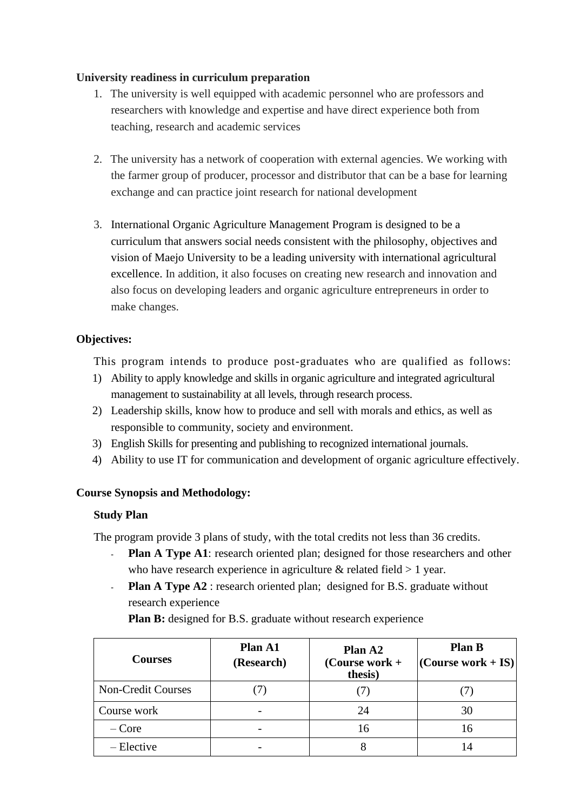## **University readiness in curriculum preparation**

- 1. The university is well equipped with academic personnel who are professors and researchers with knowledge and expertise and have direct experience both from teaching, research and academic services
- 2. The university has a network of cooperation with external agencies. We working with the farmer group of producer, processor and distributor that can be a base for learning exchange and can practice joint research for national development
- 3. International Organic Agriculture Management Program is designed to be a curriculum that answers social needs consistent with the philosophy, objectives and vision of Maejo University to be a leading university with international agricultural excellence. In addition, it also focuses on creating new research and innovation and also focus on developing leaders and organic agriculture entrepreneurs in order to make changes.

## **Objectives:**

This program intends to produce post-graduates who are qualified as follows:

- 1) Ability to apply knowledge and skills in organic agriculture and integrated agricultural management to sustainability at all levels, through research process.
- 2) Leadership skills, know how to produce and sell with morals and ethics, as well as responsible to community, society and environment.
- 3) English Skills for presenting and publishing to recognized international journals.
- 4) Ability to use IT for communication and development of organic agriculture effectively.

## **Course Synopsis and Methodology:**

## **Study Plan**

The program provide 3 plans of study, with the total credits not less than 36 credits.

- **Plan A Type A1**: research oriented plan; designed for those researchers and other who have research experience in agriculture  $\&$  related field  $> 1$  year.
- **Plan A Type A2** : research oriented plan; designed for B.S. graduate without research experience

**Plan B:** designed for B.S. graduate without research experience

| <b>Courses</b>            | Plan A1<br>(Research) | Plan A <sub>2</sub><br>(Course work $+$<br>thesis) | <b>Plan B</b><br>$ $ (Course work + IS) $ $ |
|---------------------------|-----------------------|----------------------------------------------------|---------------------------------------------|
| <b>Non-Credit Courses</b> |                       |                                                    |                                             |
| Course work               |                       | 24                                                 | 30                                          |
| $-Core$                   |                       | 16                                                 | 16                                          |
| $-$ Elective              |                       |                                                    | $\mathsf{I}4$                               |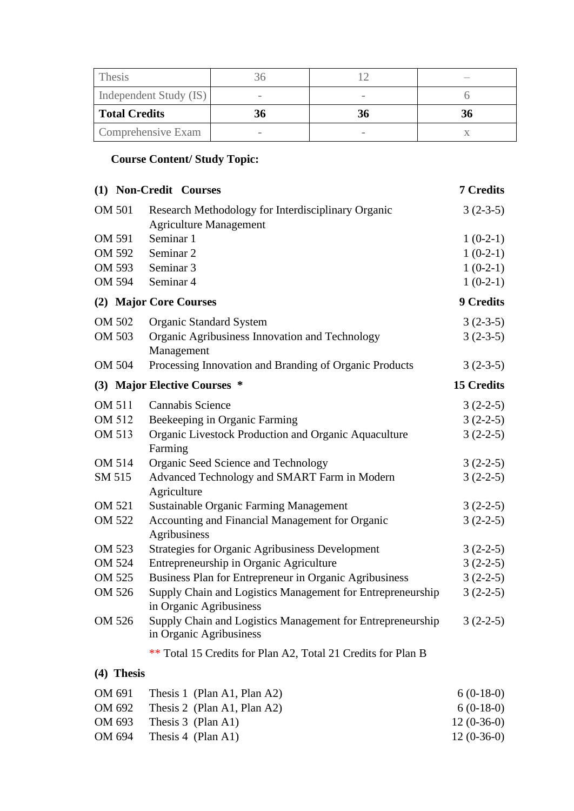| Thesis                 |    |    |
|------------------------|----|----|
| Independent Study (IS) |    |    |
| <b>Total Credits</b>   | 36 | 36 |
| Comprehensive Exam     |    |    |

# **Course Content/ Study Topic:**

|            | (1) Non-Credit Courses                                                                | 7 Credits         |
|------------|---------------------------------------------------------------------------------------|-------------------|
| OM 501     | Research Methodology for Interdisciplinary Organic<br><b>Agriculture Management</b>   | $3(2-3-5)$        |
| OM 591     | Seminar 1                                                                             | $1(0-2-1)$        |
| OM 592     | Seminar <sub>2</sub>                                                                  | $1(0-2-1)$        |
| OM 593     | Seminar <sub>3</sub>                                                                  | $1(0-2-1)$        |
| OM 594     | Seminar <sub>4</sub>                                                                  | $1(0-2-1)$        |
|            | (2) Major Core Courses                                                                | <b>9 Credits</b>  |
| OM 502     | <b>Organic Standard System</b>                                                        | $3(2-3-5)$        |
| OM 503     | Organic Agribusiness Innovation and Technology<br>Management                          | $3(2-3-5)$        |
| OM 504     | Processing Innovation and Branding of Organic Products                                | $3(2-3-5)$        |
|            | (3) Major Elective Courses *                                                          | <b>15 Credits</b> |
| OM 511     | <b>Cannabis Science</b>                                                               | $3(2-2-5)$        |
| OM 512     | Beekeeping in Organic Farming                                                         | $3(2-2-5)$        |
| OM 513     | Organic Livestock Production and Organic Aquaculture<br>Farming                       | $3(2-2-5)$        |
| OM 514     | Organic Seed Science and Technology                                                   | $3(2-2-5)$        |
| SM 515     | Advanced Technology and SMART Farm in Modern<br>Agriculture                           | $3(2-2-5)$        |
| OM 521     | <b>Sustainable Organic Farming Management</b>                                         | $3(2-2-5)$        |
| OM 522     | Accounting and Financial Management for Organic<br>Agribusiness                       | $3(2-2-5)$        |
| OM 523     | <b>Strategies for Organic Agribusiness Development</b>                                | $3(2-2-5)$        |
| OM 524     | Entrepreneurship in Organic Agriculture                                               | $3(2-2-5)$        |
| OM 525     | Business Plan for Entrepreneur in Organic Agribusiness                                | $3(2-2-5)$        |
| OM 526     | Supply Chain and Logistics Management for Entrepreneurship<br>in Organic Agribusiness | $3(2-2-5)$        |
| OM 526     | Supply Chain and Logistics Management for Entrepreneurship<br>in Organic Agribusiness | $3(2-2-5)$        |
|            | ** Total 15 Credits for Plan A2, Total 21 Credits for Plan B                          |                   |
| (4) Thesis |                                                                                       |                   |
| OM 691     | Thesis 1 (Plan A1, Plan A2)                                                           | $6(0-18-0)$       |
| $\sqrt{2}$ | $0 \t M$ $(1, 1, 1)$ $(0, 0)$                                                         | (0.10, 0)         |

| OM 692 | Thesis 2 (Plan A1, Plan A2) | $6(0-18-0)$  |
|--------|-----------------------------|--------------|
| OM 693 | Thesis 3 (Plan A1)          | $12(0-36-0)$ |
| OM 694 | Thesis 4 (Plan A1)          | $12(0-36-0)$ |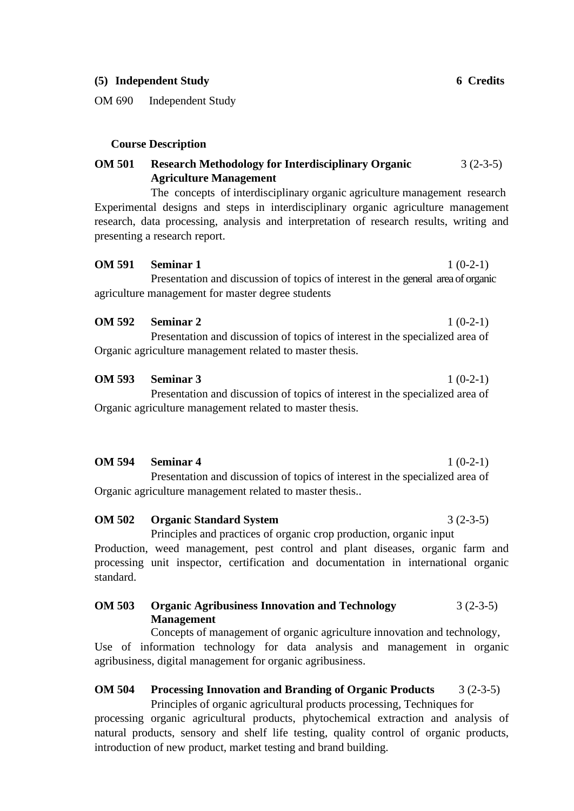#### **(5) Independent Study 6 Credits**

OM 690 Independent Study

#### **Course Description**

#### **OM 501 Research Methodology for Interdisciplinary Organic Agriculture Management** 3 (2-3-5)

The concepts of interdisciplinary organic agriculture management research Experimental designs and steps in interdisciplinary organic agriculture management research, data processing, analysis and interpretation of research results, writing and presenting a research report.

#### **OM 591 Seminar 1** 1 (0-2-1)

Presentation and discussion of topics of interest in the general area of organic agriculture management for master degree students

#### **OM 592 Seminar 2** 1 (0-2-1)

Presentation and discussion of topics of interest in the specialized area of Organic agriculture management related to master thesis.

### **OM 593 Seminar 3** 1 (0-2-1)

Presentation and discussion of topics of interest in the specialized area of Organic agriculture management related to master thesis.

**OM 594 Seminar 4** 1 (0-2-1)

Presentation and discussion of topics of interest in the specialized area of Organic agriculture management related to master thesis..

**OM 502 Organic Standard System** 3 (2-3-5)

Principles and practices of organic crop production, organic input Production, weed management, pest control and plant diseases, organic farm and processing unit inspector, certification and documentation in international organic standard.

#### **OM 503 Organic Agribusiness Innovation and Technology Management** 3 (2-3-5)

Concepts of management of organic agriculture innovation and technology, Use of information technology for data analysis and management in organic agribusiness, digital management for organic agribusiness.

## **OM 504 Processing Innovation and Branding of Organic Products** 3 (2-3-5)

Principles of organic agricultural products processing, Techniques for processing organic agricultural products, phytochemical extraction and analysis of natural products, sensory and shelf life testing, quality control of organic products, introduction of new product, market testing and brand building.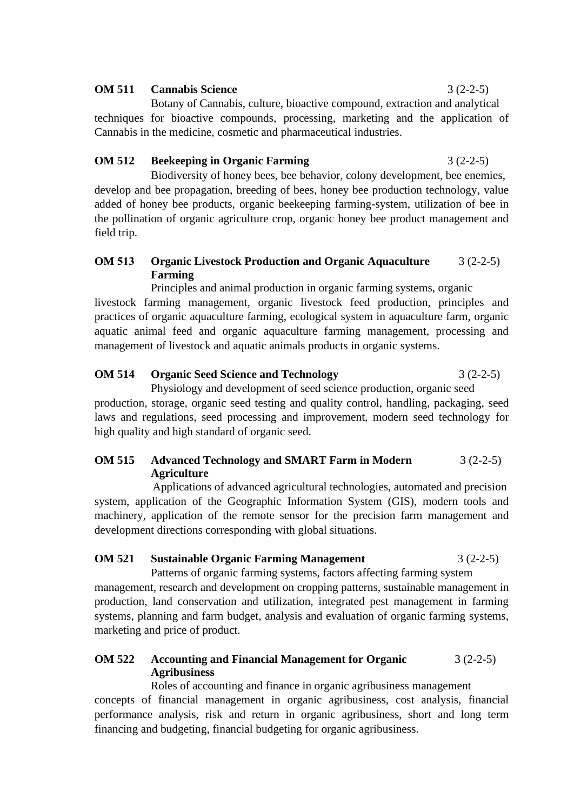#### **OM 511 Cannabis Science** 3 (2-2-5)

Botany of Cannabis, culture, bioactive compound, extraction and analytical techniques for bioactive compounds, processing, marketing and the application of Cannabis in the medicine, cosmetic and pharmaceutical industries.

#### **OM 512 Beekeeping in Organic Farming** 3 (2-2-5)

Biodiversity of honey bees, bee behavior, colony development, bee enemies, develop and bee propagation, breeding of bees, honey bee production technology, value added of honey bee products, organic beekeeping farming-system, utilization of bee in the pollination of organic agriculture crop, organic honey bee product management and field trip.

#### **OM 513 Organic Livestock Production and Organic Aquaculture Farming** 3 (2-2-5)

Principles and animal production in organic farming systems, organic livestock farming management, organic livestock feed production, principles and practices of organic aquaculture farming, ecological system in aquaculture farm, organic aquatic animal feed and organic aquaculture farming management, processing and management of livestock and aquatic animals products in organic systems.

### **OM 514 Organic Seed Science and Technology** 3 (2-2-5)

Physiology and development of seed science production, organic seed production, storage, organic seed testing and quality control, handling, packaging, seed laws and regulations, seed processing and improvement, modern seed technology for high quality and high standard of organic seed.

#### **OM 515 Advanced Technology and SMART Farm in Modern Agriculture** 3 (2-2-5)

Applications of advanced agricultural technologies, automated and precision system, application of the Geographic Information System (GIS), modern tools and machinery, application of the remote sensor for the precision farm management and development directions corresponding with global situations.

### **OM 521 Sustainable Organic Farming Management** 3 (2-2-5)

Patterns of organic farming systems, factors affecting farming system management, research and development on cropping patterns, sustainable management in production, land conservation and utilization, integrated pest management in farming systems, planning and farm budget, analysis and evaluation of organic farming systems, marketing and price of product.

#### **OM 522 Accounting and Financial Management for Organic Agribusiness**  $3(2-2-5)$

Roles of accounting and finance in organic agribusiness management concepts of financial management in organic agribusiness, cost analysis, financial performance analysis, risk and return in organic agribusiness, short and long term financing and budgeting, financial budgeting for organic agribusiness.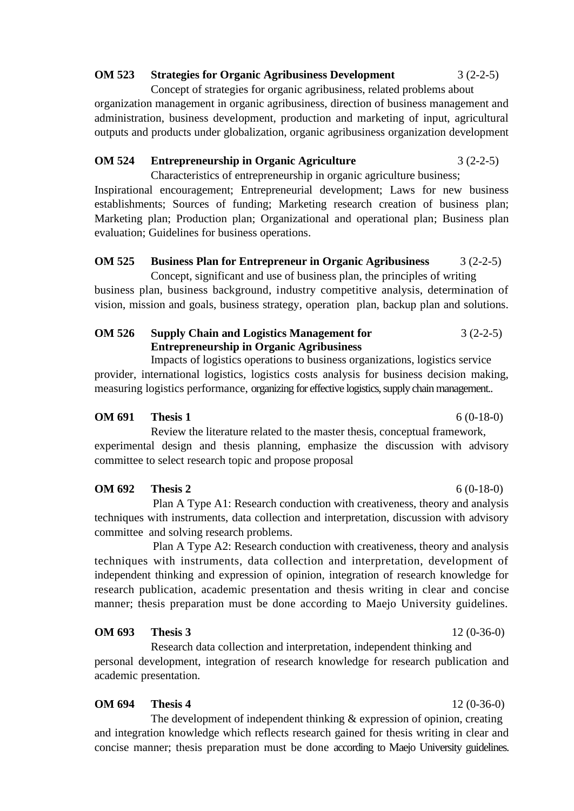#### **OM 523 Strategies for Organic Agribusiness Development** 3 (2-2-5)

Concept of strategies for organic agribusiness, related problems about organization management in organic agribusiness, direction of business management and administration, business development, production and marketing of input, agricultural outputs and products under globalization, organic agribusiness organization development

#### **OM 524 Entrepreneurship in Organic Agriculture** 3 (2-2-5)

Characteristics of entrepreneurship in organic agriculture business; Inspirational encouragement; Entrepreneurial development; Laws for new business establishments; Sources of funding; Marketing research creation of business plan; Marketing plan; Production plan; Organizational and operational plan; Business plan evaluation; Guidelines for business operations.

#### **OM 525 Business Plan for Entrepreneur in Organic Agribusiness** 3 (2-2-5)

Concept, significant and use of business plan, the principles of writing business plan, business background, industry competitive analysis, determination of vision, mission and goals, business strategy, operation plan, backup plan and solutions.

#### **OM 526 Supply Chain and Logistics Management for Entrepreneurship in Organic Agribusiness** 3 (2-2-5)

Impacts of logistics operations to business organizations, logistics service provider, international logistics, logistics costs analysis for business decision making, measuring logistics performance, organizing for effective logistics, supply chain management..

#### **OM 691 Thesis 1** 6 (0-18-0)

Review the literature related to the master thesis, conceptual framework, experimental design and thesis planning, emphasize the discussion with advisory committee to select research topic and propose proposal

### **OM 692 Thesis 2** 6 (0-18-0)

Plan A Type A1: Research conduction with creativeness, theory and analysis techniques with instruments, data collection and interpretation, discussion with advisory committee and solving research problems.

Plan A Type A2: Research conduction with creativeness, theory and analysis techniques with instruments, data collection and interpretation, development of independent thinking and expression of opinion, integration of research knowledge for research publication, academic presentation and thesis writing in clear and concise manner; thesis preparation must be done according to Maejo University guidelines.

#### **OM 693 Thesis 3** 12 (0-36-0)

Research data collection and interpretation, independent thinking and personal development, integration of research knowledge for research publication and academic presentation.

#### **OM 694 Thesis 4** 12 (0-36-0)

The development of independent thinking  $\&$  expression of opinion, creating and integration knowledge which reflects research gained for thesis writing in clear and concise manner; thesis preparation must be done according to Maejo University guidelines.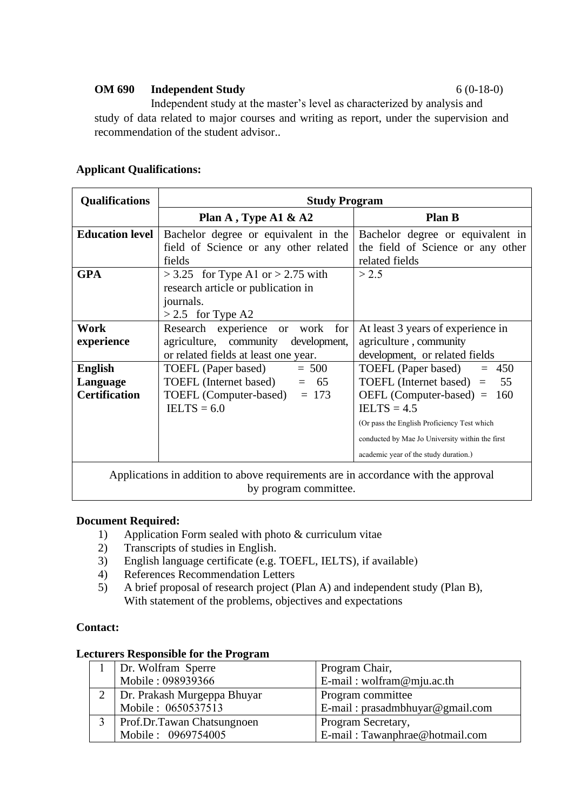#### **OM 690 Independent Study** 6 (0-18-0)

Independent study at the master's level as characterized by analysis and study of data related to major courses and writing as report, under the supervision and recommendation of the student advisor..

| <b>Qualifications</b>                                                              | <b>Study Program</b>                            |                                                 |
|------------------------------------------------------------------------------------|-------------------------------------------------|-------------------------------------------------|
|                                                                                    | Plan A, Type A1 $\&$ A2                         | <b>Plan B</b>                                   |
| <b>Education level</b>                                                             | Bachelor degree or equivalent in the            | Bachelor degree or equivalent in                |
|                                                                                    | field of Science or any other related           | the field of Science or any other               |
|                                                                                    | fields                                          | related fields                                  |
| <b>GPA</b>                                                                         | $>$ 3.25 for Type A1 or $>$ 2.75 with           | > 2.5                                           |
|                                                                                    | research article or publication in              |                                                 |
|                                                                                    | journals.                                       |                                                 |
|                                                                                    | $> 2.5$ for Type A2                             |                                                 |
| Work                                                                               | Research experience<br>for<br>work<br><b>or</b> | At least 3 years of experience in               |
| experience                                                                         | agriculture, community<br>development,          | agriculture, community                          |
|                                                                                    | or related fields at least one year.            | development, or related fields                  |
| <b>English</b>                                                                     | TOEFL (Paper based)<br>$= 500$                  | TOEFL (Paper based)<br>$= 450$                  |
| Language                                                                           | TOEFL (Internet based)<br>$= 65$                | TOEFL (Internet based) $=$<br>55                |
| <b>Certification</b>                                                               | TOEFL (Computer-based)<br>$= 173$               | $OEFL$ (Computer-based) =<br>- 160              |
|                                                                                    | $IELTS = 6.0$                                   | $IELTS = 4.5$                                   |
|                                                                                    |                                                 | (Or pass the English Proficiency Test which     |
|                                                                                    |                                                 | conducted by Mae Jo University within the first |
|                                                                                    |                                                 | academic year of the study duration.)           |
| Applications in addition to above requirements are in accordance with the approval |                                                 |                                                 |

by program committee.

#### **Applicant Qualifications:**

#### **Document Required:**

- 1) Application Form sealed with photo & curriculum vitae
- 2) Transcripts of studies in English.
- 3) English language certificate (e.g. TOEFL, IELTS), if available)
- 4) References Recommendation Letters
- 5) A brief proposal of research project (Plan A) and independent study (Plan B), With statement of the problems, objectives and expectations

#### **Contact:**

#### **Lecturers Responsible for the Program**

| 1   Dr. Wolfram Sperre          | Program Chair,                    |
|---------------------------------|-----------------------------------|
| Mobile: 098939366               | E-mail: wolfram@mju.ac.th         |
| 2   Dr. Prakash Murgeppa Bhuyar | Program committee                 |
| Mobile: 0650537513              | E-mail: $prasadmbhuyar@gmail.com$ |
| Prof.Dr.Tawan Chatsungnoen      | Program Secretary,                |
| Mobile: 0969754005              | E-mail: Tawanphrae@hotmail.com    |